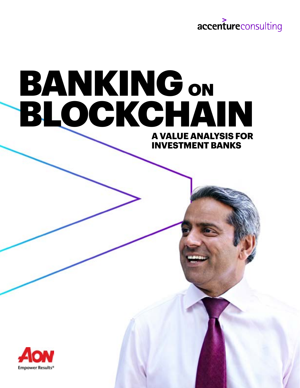

**INVESTMENT BANKS**

# **A VALUE ANALYSIS FOR**  BANKING ON BLOCKCHAIN

**Empower Results\***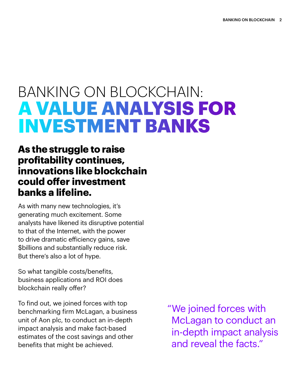# BANKING ON BLOCKCHAIN: **A VALUE ANALYSIS FOR INVESTMENT BANKS**

# **As the struggle to raise profitability continues, innovations like blockchain could offer investment banks a lifeline.**

As with many new technologies, it's generating much excitement. Some analysts have likened its disruptive potential to that of the Internet, with the power to drive dramatic efficiency gains, save \$billions and substantially reduce risk. But there's also a lot of hype.

So what tangible costs/benefits, business applications and ROI does blockchain really offer?

To find out, we joined forces with top benchmarking firm McLagan, a business unit of Aon plc, to conduct an in-depth impact analysis and make fact-based estimates of the cost savings and other benefits that might be achieved.

"We joined forces with McLagan to conduct an in-depth impact analysis and reveal the facts."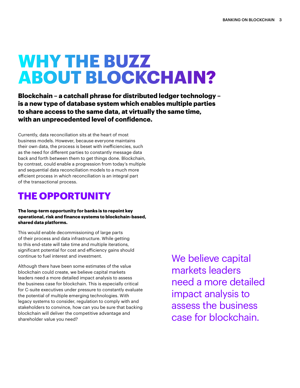# **WHY THE BUZZ ABOUT BLOCKCHAIN?**

**Blockchain – a catchall phrase for distributed ledger technology – is a new type of database system which enables multiple parties to share access to the same data, at virtually the same time, with an unprecedented level of confidence.** 

Currently, data reconciliation sits at the heart of most business models. However, because everyone maintains their own data, the process is beset with inefficiencies, such as the need for different parties to constantly message data back and forth between them to get things done. Blockchain, by contrast, could enable a progression from today's multiple and sequential data reconciliation models to a much more efficient process in which reconciliation is an integral part of the transactional process.

# **THE OPPORTUNITY**

**The long-term opportunity for banks is to repoint key operational, risk and finance systems to blockchain-based, shared data platforms.**

This would enable decommissioning of large parts of their process and data infrastructure. While getting to this end-state will take time and multiple iterations, significant potential for cost and efficiency gains should continue to fuel interest and investment.

Although there have been some estimates of the value blockchain could create, we believe capital markets leaders need a more detailed impact analysis to assess the business case for blockchain. This is especially critical for C-suite executives under pressure to constantly evaluate the potential of multiple emerging technologies. With legacy systems to consider, regulation to comply with and stakeholders to convince, how can you be sure that backing blockchain will deliver the competitive advantage and shareholder value you need?

We believe capital markets leaders need a more detailed impact analysis to assess the business case for blockchain.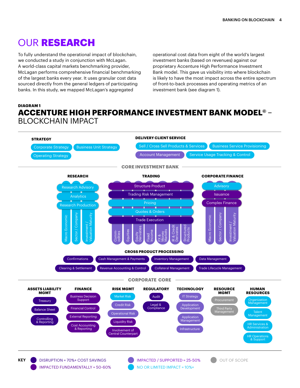# OUR **RESEARCH**

To fully understand the operational impact of blockchain, we conducted a study in conjunction with McLagan. A world-class capital markets benchmarking provider, McLagan performs comprehensive financial benchmarking of the largest banks every year. It uses granular cost data sourced directly from the general ledgers of participating banks. In this study, we mapped McLagan's aggregated

operational cost data from eight of the world's largest investment banks (based on revenues) against our proprietary Accenture High Performance Investment Bank model. This gave us visibility into where blockchain is likely to have the most impact across the entire spectrum of front-to-back processes and operating metrics of an investment bank (see diagram 1).

## **DIAGRAM 1 ACCENTURE HIGH PERFORMANCE INVESTMENT BANK MODEL©** – BLOCKCHAIN IMPACT

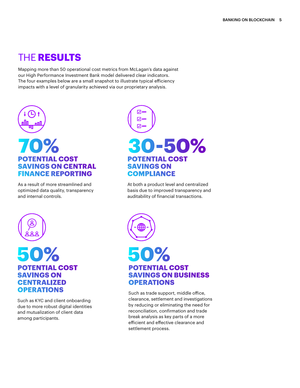# THE **RESULTS**

Mapping more than 50 operational cost metrics from McLagan's data against our High Performance Investment Bank model delivered clear indicators. The four examples below are a small snapshot to illustrate typical efficiency impacts with a level of granularity achieved via our proprietary analysis.



## **POTENTIAL COST SAVINGS ON CENTRAL FINANCE REPORTING**

As a result of more streamlined and optimized data quality, transparency and internal controls.



At both a product level and centralized basis due to improved transparency and auditability of financial transactions.



## **50% POTENTIAL COST SAVINGS ON CENTRALIZED OPERATIONS**

Such as KYC and client onboarding due to more robust digital identities and mutualization of client data among participants.



## **POTENTIAL COST SAVINGS ON BUSINESS OPERATIONS**

Such as trade support, middle office, clearance, settlement and investigations by reducing or eliminating the need for reconciliation, confirmation and trade break analysis as key parts of a more efficient and effective clearance and settlement process.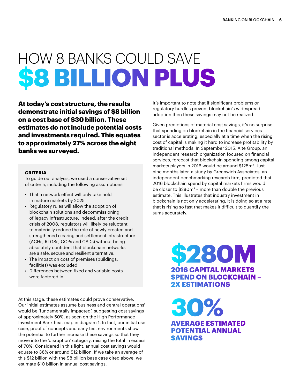# HOW 8 BANKS COULD SAVE **\$8 BILLION PLUS**

**At today's cost structure, the results demonstrate initial savings of \$8 billion on a cost base of \$30 billion. These estimates do not include potential costs and investments required. This equates to approximately 27% across the eight banks we surveyed.**

### **CRITERIA**

To guide our analysis, we used a conservative set of criteria, including the following assumptions:

- That a network effect will only take hold in mature markets by 2025
- Regulatory rules will allow the adoption of blockchain solutions and decommissioning of legacy infrastructure. Indeed, after the credit crisis of 2008, regulators will likely be reluctant to materially reduce the role of newly created and strengthened clearing and settlement infrastructure (ACHs, RTGSs, CCPs and CSDs) without being absolutely confident that blockchain networks are a safe, secure and resilient alternative.
- The impact on cost of premises (buildings, facilities) was excluded
- Differences between fixed and variable costs were factored in.

At this stage, these estimates could prove conservative. Our initial estimates assume business and central operations<sup>1</sup> would be 'fundamentally impacted', suggesting cost savings of approximately 50%, as seen on the High Performance Investment Bank heat map in diagram 1. In fact, our initial use case, proof of concepts and early test environments show the potential to further increase these savings so that they move into the 'disruption' category, raising the total in excess of 70%. Considered in this light, annual cost savings would equate to 38% or around \$12 billion. If we take an average of this \$12 billion with the \$8 billion base case cited above, we estimate \$10 billion in annual cost savings.

It's important to note that if significant problems or regulatory hurdles prevent blockchain's widespread adoption then these savings may not be realized.

Given predictions of material cost savings, it's no surprise that spending on blockchain in the financial services sector is accelerating, especially at a time when the rising cost of capital is making it hard to increase profitability by traditional methods. In September 2015, Aite Group, an independent research organization focused on financial services, forecast that blockchain spending among capital markets players in 2016 would be around \$125m<sup>2</sup>. Just nine months later, a study by Greenwich Associates, an independent benchmarking research firm, predicted that 2016 blockchain spend by capital markets firms would be closer to  $$280m<sup>3</sup> - more than double the previous$ estimate. This illustrates that industry investment in blockchain is not only accelerating, it is doing so at a rate that is rising so fast that makes it difficult to quantify the sums accurately.

> **2016 CAPITAL MARKETS \$280M SPEND ON BLOCKCHAIN – 2X ESTIMATIONS**

**AVERAGE ESTIMATED 30% POTENTIAL ANNUAL SAVINGS**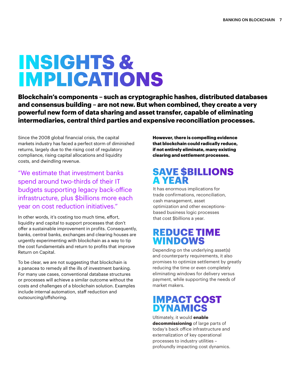# **INSIGHTS & IMPLICATIONS**

**Blockchain's components – such as cryptographic hashes, distributed databases and consensus building – are not new. But when combined, they create a very powerful new form of data sharing and asset transfer, capable of eliminating intermediaries, central third parties and expensive reconciliation processes.** 

Since the 2008 global financial crisis, the capital markets industry has faced a perfect storm of diminished returns, largely due to the rising cost of regulatory compliance, rising capital allocations and liquidity costs, and dwindling revenue.

"We estimate that investment banks spend around two-thirds of their IT budgets supporting legacy back-office infrastructure, plus \$billions more each year on cost reduction initiatives."

In other words, it's costing too much time, effort, liquidity and capital to support processes that don't offer a sustainable improvement in profits. Consequently, banks, central banks, exchanges and clearing houses are urgently experimenting with blockchain as a way to tip the cost fundamentals and return to profits that improve Return on Capital.

To be clear, we are not suggesting that blockchain is a panacea to remedy all the ills of investment banking. For many use cases, conventional database structures or processes will achieve a similar outcome without the costs and challenges of a blockchain solution. Examples include internal automation, staff reduction and outsourcing/offshoring.

**However, there is compelling evidence that blockchain could radically reduce, if not entirely eliminate, many existing clearing and settlement processes.** 

# **SAVE \$BILLIONS A YEAR**

It has enormous implications for trade confirmations, reconciliation, cash management, asset optimization and other exceptionsbased business logic processes that cost \$billions a year.

## **REDUCE TIME WINDOWS**

Depending on the underlying asset(s) and counterparty requirements, it also promises to optimize settlement by greatly reducing the time or even completely eliminating windows for delivery versus payment, while supporting the needs of market makers.

# **IMPACT COST DYNAMICS**

Ultimately, it would **enable decommissioning** of large parts of today's back office infrastructure and externalization of key operational processes to industry utilities – profoundly impacting cost dynamics.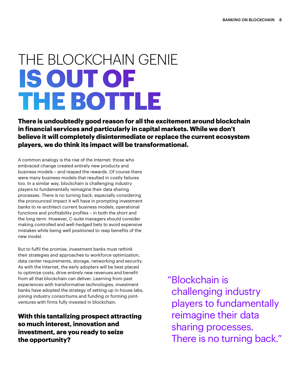# THE BLOCKCHAIN GENIE **IS OUT OF THE BOTTLE**

**There is undoubtedly good reason for all the excitement around blockchain in financial services and particularly in capital markets. While we don't believe it will completely disintermediate or replace the current ecosystem players, we do think its impact will be transformational.** 

A common analogy is the rise of the Internet: those who embraced change created entirely new products and business models – and reaped the rewards. Of course there were many business models that resulted in costly failures too. In a similar way, blockchain is challenging industry players to fundamentally reimagine their data sharing processes. There is no turning back, especially considering the pronounced impact it will have in prompting investment banks to re-architect current business models, operational functions and profitability profiles – in both the short and the long term. However, C-suite managers should consider making controlled and well-hedged bets to avoid expensive mistakes while being well positioned to reap benefits of the new model.

But to fulfil the promise, investment banks must rethink their strategies and approaches to workforce optimization, data center requirements, storage, networking and security. As with the Internet, the early adopters will be best placed to optimize costs, drive entirely new revenues and benefit from all that blockchain can deliver. Learning from past experiences with transformative technologies, investment banks have adopted the strategy of setting up in-house labs, joining industry consortiums and funding or forming jointventures with firms fully invested in blockchain.

**With this tantalizing prospect attracting so much interest, innovation and investment, are you ready to seize the opportunity?**

"Blockchain is challenging industry players to fundamentally reimagine their data sharing processes. There is no turning back."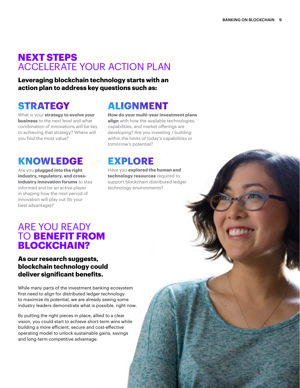# **NEXT STEPS**  ACCELERATE YOUR ACTION PLAN

**Leveraging blockchain technology starts with an action plan to address key questions such as:**

What is your **strategy to evolve your business** to the next level and what combination of innovations will be key to achieving that strategy? Where will you find the most value?

# **KNOWLEDGE EXPLORE**

Are you **plugged into the right industry, regulatory, and crossindustry innovation forums** to stay informed and be an active player in shaping how the next period of innovation will play out (to your best advantage)?

# **STRATEGY ALIGNMENT**

**How do your multi-year investment plans align** with how the available technologies, capabilities, and market offerings are developing? Are you investing / building within the limits of today's capabilities or tomorrow's potential?

Have you **explored the human and technology resources** required to support blockchain distributed ledger technology environments?

## ARE YOU READY TO **BENEFIT FROM BLOCKCHAIN?**

## **As our research suggests, blockchain technology could deliver significant benefits.**

While many parts of the investment banking ecosystem first need to align for distributed ledger technology to maximize its potential, we are already seeing some industry leaders demonstrate what is possible, right now.

By putting the right pieces in place, allied to a clear vision, you could start to achieve short-term wins while building a more efficient, secure and cost-effective operating model to unlock sustainable gains, savings and long-term competitive advantage.